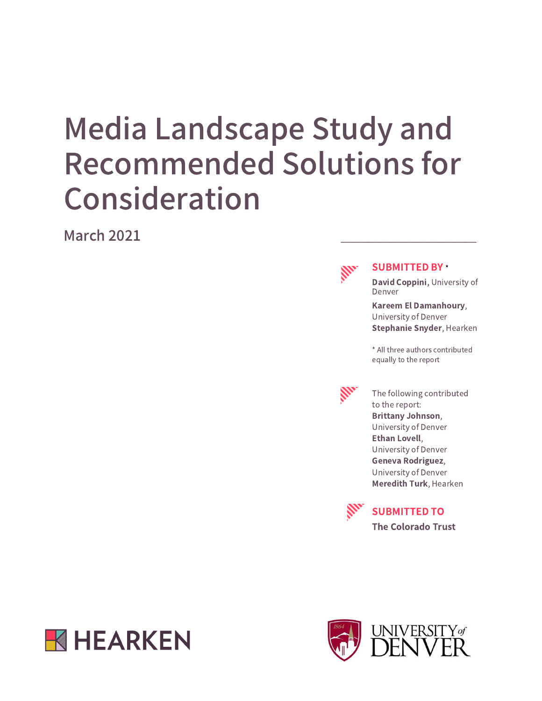# Media Landscape Study and Recommended Solutions for Consideration

March 2021



#### SUBMITTED BY \*

David Coppini, University of Denver

Kareem El Damanhoury, University of Denver Stephanie Snyder, Hearken

\* All three authors contributed equally to the report



The following contributed to the report: Brittany Johnson, University of Denver Ethan Lovell, University of Denver Geneva Rodriguez, University of Denver Meredith Turk, Hearken



SUBMITTED TO

The Colorado Trust



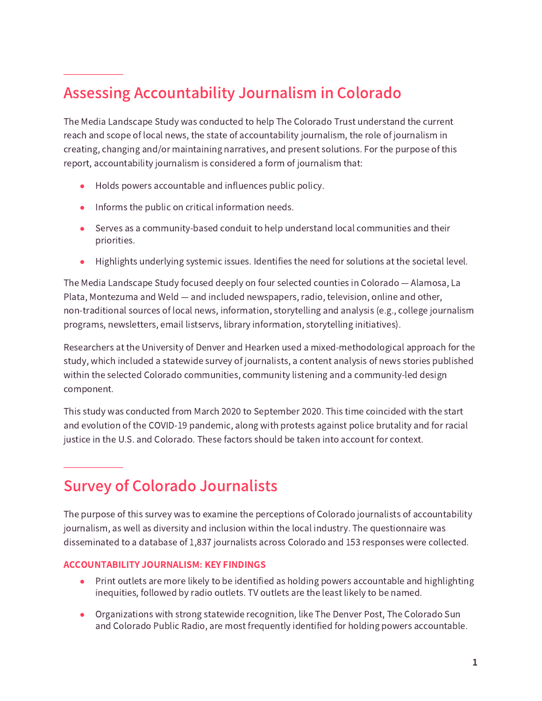# Assessing Accountability Journalism in Colorado

The Media Landscape Study was conducted to help The Colorado Trust understand the current reach and scope of local news, the state of accountability journalism, the role of journalism in creating, changing and/or maintaining narratives, and present solutions. For the purpose of this report, accountability journalism is considered a form of journalism that:

- Holds powers accountable and influences public policy.
- Informs the public on critical information needs.

 $\frac{1}{2}$  ,  $\frac{1}{2}$  ,  $\frac{1}{2}$  ,  $\frac{1}{2}$  ,  $\frac{1}{2}$  ,  $\frac{1}{2}$ 

 $\frac{1}{2}$  ,  $\frac{1}{2}$  ,  $\frac{1}{2}$  ,  $\frac{1}{2}$  ,  $\frac{1}{2}$  ,  $\frac{1}{2}$ 

- Serves as a community-based conduit to help understand local communities and their priorities.
- Highlights underlying systemic issues. Identifies the need for solutions at the societal level.

The Media Landscape Study focused deeply on four selected counties in Colorado — Alamosa, La Plata, Montezuma and Weld — and included newspapers, radio, television, online and other, non-traditional sources of local news, information, storytelling and analysis (e.g., college journalism programs, newsletters, email listservs, library information, storytelling initiatives).

Researchers at the University of Denver and Hearken used a mixed-methodological approach for the study, which included a statewide survey of journalists, a content analysis of news stories published within the selected Colorado communities, community listening and a community-led design component.

This study was conducted from March 2020 to September 2020. This time coincided with the start and evolution of the COVID-19 pandemic, along with protests against police brutality and for racial justice in the U.S. and Colorado. These factors should be taken into account for context.

### Survey of Colorado Journalists

The purpose of this survey was to examine the perceptions of Colorado journalists of accountability journalism, as well as diversity and inclusion within the local industry. The questionnaire was disseminated to a database of 1,837 journalists across Colorado and 153 responses were collected.

#### ACCOUNTABILITY JOURNALISM: KEY FINDINGS

- Print outlets are more likely to be identified as holding powers accountable and highlighting inequities, followed by radio outlets. TV outlets are the least likely to be named.
- Organizations with strong statewide recognition, like The Denver Post, The Colorado Sun and Colorado Public Radio, are most frequently identified for holding powers accountable.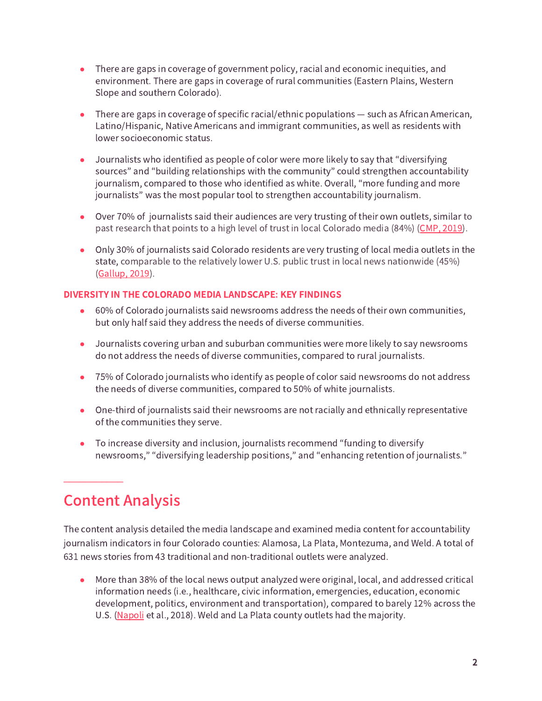- There are gaps in coverage of government policy, racial and economic inequities, and environment. There are gaps in coverage of rural communities (Eastern Plains, Western Slope and southern Colorado).
- $\bullet$  There are gaps in coverage of specific racial/ethnic populations  $-$  such as African American, Latino/Hispanic, Native Americans and immigrant communities, as well as residents with lower socioeconomic status.
- Journalists who identified as people of color were more likely to say that "diversifying sources" and "building relationships with the community" could strengthen accountability journalism, compared to those who identified as white. Overall, "more funding and more journalists" was the most popular tool to strengthen accountability journalism.
- Over 70% of journalists said their audiences are very trusting of their own outlets, similar to past research that points to a high level of trust in local Colorado media (84%) ([CMP,](https://static1.squarespace.com/static/5b48d905c258b4f9cb79f8d3/t/5db8bc23e7c94a29941191da/1572387878797/CMP+%2B+Corona+Insights+-+2019+Survey+of+Arts+Access+and+News+Media.pdf) 2019).
- Only 30% of journalists said Colorado residents are very trusting of local media outlets in the state, comparable to the relatively lower U.S. public trust in local news nationwide (45%) ([Gallup,](https://kf-site-production.s3.amazonaws.com/media_elements/files/000/000/440/original/State_of_Public_Trust_in_Local_Media_final_.pdf) 2019).

#### DIVERSITY IN THE COLORADO MEDIA LANDSCAPE: KEY FINDINGS

- 60% of Colorado journalists said newsrooms address the needs of their own communities, but only half said they address the needs of diverse communities.
- Journalists covering urban and suburban communities were more likely to say newsrooms do not address the needs of diverse communities, compared to rural journalists.
- 75% of Colorado journalists who identify as people of color said newsrooms do not address the needs of diverse communities, compared to 50% of white journalists.
- One-third of journalists said their newsrooms are not racially and ethnically representative of the communities they serve.
- To increase diversity and inclusion, journalists recommend "funding to diversify newsrooms," "diversifying leadership positions," and "enhancing retention of journalists."

### Content Analysis

 $\frac{1}{2}$  ,  $\frac{1}{2}$  ,  $\frac{1}{2}$  ,  $\frac{1}{2}$  ,  $\frac{1}{2}$  ,  $\frac{1}{2}$ 

The content analysis detailed the media landscape and examined media content for accountability journalism indicators in four Colorado counties: Alamosa, La Plata, Montezuma, and Weld. A total of 631 news stories from 43 traditional and non-traditional outlets were analyzed.

● More than 38% of the local news output analyzed were original, local, and addressed critical information needs (i.e., healthcare, civic information, emergencies, education, economic development, politics, environment and transportation), compared to barely 12% across the U.S. [\(Napoli](https://dewitt.sanford.duke.edu/wp-content/uploads/2018/08/Assessing-Local-Journalism_100-Communities.pdf) et al., 2018). Weld and La Plata county outlets had the majority.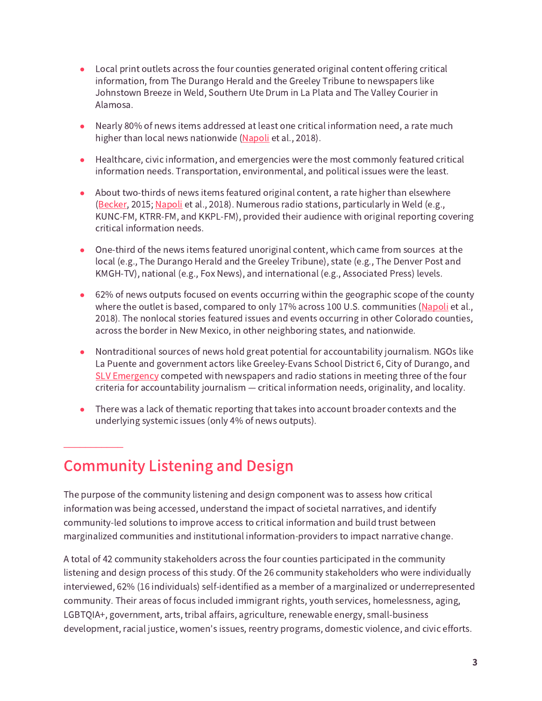- Local print outlets across the four counties generated original content offering critical information, from The Durango Herald and the Greeley Tribune to newspapers like Johnstown Breeze in Weld, Southern Ute Drum in La Plata and The Valley Courier in Alamosa.
- Nearly 80% of news items addressed at least one critical information need, a rate much higher than local news nationwide ([Napoli](https://dewitt.sanford.duke.edu/wp-content/uploads/2018/08/Assessing-Local-Journalism_100-Communities.pdf) et al., 2018).
- Healthcare, civic information, and emergencies were the most commonly featured critical information needs. Transportation, environmental, and political issues were the least.
- About two-thirds of news items featured original content, a rate higher than elsewhere ([Becker](https://udspace.udel.edu/bitstream/handle/19716/17233/2015_BeckerAllison_MS.pdf?sequence=1&isAllowed=y), 2015; [Napoli](https://dewitt.sanford.duke.edu/wp-content/uploads/2018/08/Assessing-Local-Journalism_100-Communities.pdf) et al., 2018). Numerous radio stations, particularly in Weld (e.g., KUNC-FM, KTRR-FM, and KKPL-FM), provided their audience with original reporting covering critical information needs.
- One-third of the news items featured unoriginal content, which came from sources at the local (e.g., The Durango Herald and the Greeley Tribune), state (e.g., The Denver Post and KMGH-TV), national (e.g., Fox News), and international (e.g., Associated Press) levels.
- 62% of news outputs focused on events occurring within the geographic scope of the county where the outlet is based, compared to only 17% across 100 U.S. communities [\(Napoli](https://dewitt.sanford.duke.edu/wp-content/uploads/2018/08/Assessing-Local-Journalism_100-Communities.pdf) et al., 2018). The nonlocal stories featured issues and events occurring in other Colorado counties, across the border in New Mexico, in other neighboring states, and nationwide.
- Nontraditional sources of news hold great potential for accountability journalism. NGOs like La Puente and government actors like Greeley-Evans School District 6, City of Durango, and SLV [Emergency](https://www.slvemergency.org/) competed with newspapers and radio stations in meeting three of the four criteria for accountability journalism — critical information needs, originality, and locality.
- There was a lack of thematic reporting that takes into account broader contexts and the underlying systemic issues (only 4% of news outputs).

## Community Listening and Design

 $\frac{1}{2}$  ,  $\frac{1}{2}$  ,  $\frac{1}{2}$  ,  $\frac{1}{2}$  ,  $\frac{1}{2}$  ,  $\frac{1}{2}$ 

The purpose of the community listening and design component was to assess how critical information was being accessed, understand the impact of societal narratives, and identify community-led solutions to improve access to critical information and build trust between marginalized communities and institutional information-providers to impact narrative change.

A total of 42 community stakeholders across the four counties participated in the community listening and design process of this study. Of the 26 community stakeholders who were individually interviewed, 62% (16 individuals) self-identified as a member of a marginalized or underrepresented community. Their areas of focus included immigrant rights, youth services, homelessness, aging, LGBTQIA+, government, arts, tribal affairs, agriculture, renewable energy, small-business development, racial justice, women's issues, reentry programs, domestic violence, and civic efforts.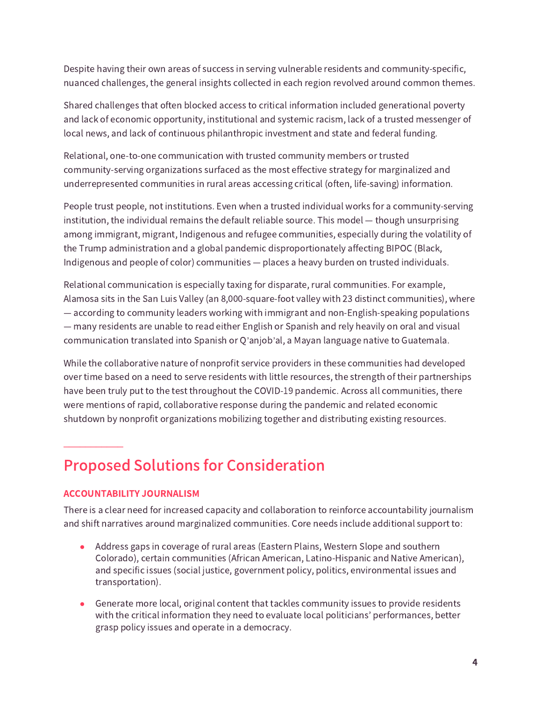Despite having their own areas of success in serving vulnerable residents and community-specific, nuanced challenges, the general insights collected in each region revolved around common themes.

Shared challenges that often blocked access to critical information included generational poverty and lack of economic opportunity, institutional and systemic racism, lack of a trusted messenger of local news, and lack of continuous philanthropic investment and state and federal funding.

Relational, one-to-one communication with trusted community members or trusted community-serving organizations surfaced as the most effective strategy for marginalized and underrepresented communities in rural areas accessing critical (often, life-saving) information.

People trust people, not institutions. Even when a trusted individual works for a community-serving institution, the individual remains the default reliable source. This model — though unsurprising among immigrant, migrant, Indigenous and refugee communities, especially during the volatility of the Trump administration and a global pandemic disproportionately affecting BIPOC (Black, Indigenous and people of color) communities — places a heavy burden on trusted individuals.

Relational communication is especially taxing for disparate, rural communities. For example, Alamosa sits in the San Luis Valley (an 8,000-square-foot valley with 23 distinct communities), where — according to community leaders working with immigrant and non-English-speaking populations — many residents are unable to read either English or Spanish and rely heavily on oral and visual communication translated into Spanish or Q'anjob'al, a Mayan language native to Guatemala.

While the collaborative nature of nonprofit service providers in these communities had developed over time based on a need to serve residents with little resources, the strength of their partnerships have been truly put to the test throughout the COVID-19 pandemic. Across all communities, there were mentions of rapid, collaborative response during the pandemic and related economic shutdown by nonprofit organizations mobilizing together and distributing existing resources.

## Proposed Solutions for Consideration

#### ACCOUNTABILITY JOURNALISM

 $\frac{1}{2}$  ,  $\frac{1}{2}$  ,  $\frac{1}{2}$  ,  $\frac{1}{2}$  ,  $\frac{1}{2}$  ,  $\frac{1}{2}$ 

There is a clear need for increased capacity and collaboration to reinforce accountability journalism and shift narratives around marginalized communities. Core needs include additional support to:

- Address gaps in coverage of rural areas (Eastern Plains, Western Slope and southern Colorado), certain communities (African American, Latino-Hispanic and Native American), and specific issues (social justice, government policy, politics, environmental issues and transportation).
- Generate more local, original content that tackles community issues to provide residents with the critical information they need to evaluate local politicians' performances, better grasp policy issues and operate in a democracy.